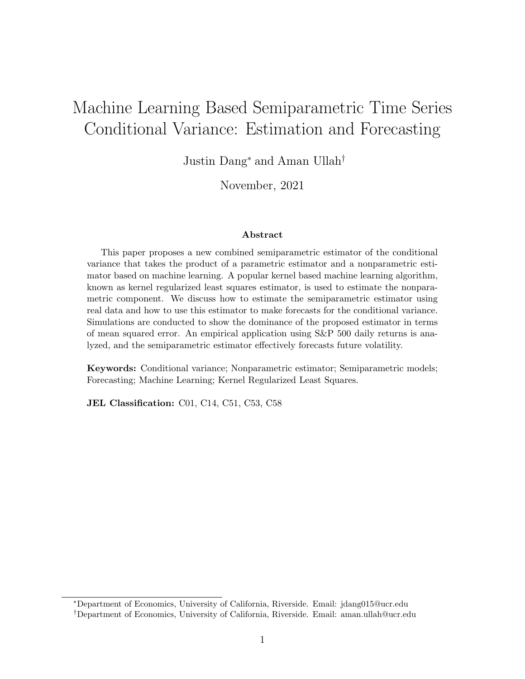# Machine Learning Based Semiparametric Time Series Conditional Variance: Estimation and Forecasting

Justin Dang<sup>∗</sup> and Aman Ullah†

November, 2021

#### Abstract

This paper proposes a new combined semiparametric estimator of the conditional variance that takes the product of a parametric estimator and a nonparametric estimator based on machine learning. A popular kernel based machine learning algorithm, known as kernel regularized least squares estimator, is used to estimate the nonparametric component. We discuss how to estimate the semiparametric estimator using real data and how to use this estimator to make forecasts for the conditional variance. Simulations are conducted to show the dominance of the proposed estimator in terms of mean squared error. An empirical application using S&P 500 daily returns is analyzed, and the semiparametric estimator effectively forecasts future volatility.

Keywords: Conditional variance; Nonparametric estimator; Semiparametric models; Forecasting; Machine Learning; Kernel Regularized Least Squares.

JEL Classification: C01, C14, C51, C53, C58

<sup>∗</sup>Department of Economics, University of California, Riverside. Email: [jdang015@ucr.edu](mailto:jdang015@ucr.edu)

<sup>†</sup>Department of Economics, University of California, Riverside. Email: [aman.ullah@ucr.edu](mailto:aman.ullah@ucr.edu)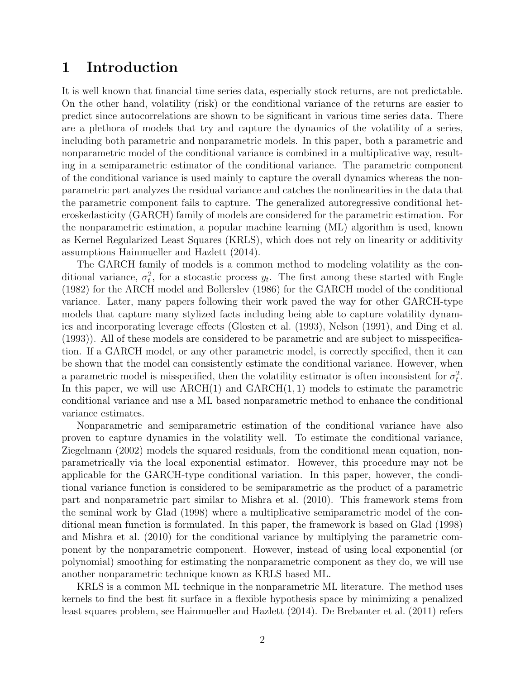### 1 Introduction

It is well known that financial time series data, especially stock returns, are not predictable. On the other hand, volatility (risk) or the conditional variance of the returns are easier to predict since autocorrelations are shown to be significant in various time series data. There are a plethora of models that try and capture the dynamics of the volatility of a series, including both parametric and nonparametric models. In this paper, both a parametric and nonparametric model of the conditional variance is combined in a multiplicative way, resulting in a semiparametric estimator of the conditional variance. The parametric component of the conditional variance is used mainly to capture the overall dynamics whereas the nonparametric part analyzes the residual variance and catches the nonlinearities in the data that the parametric component fails to capture. The generalized autoregressive conditional heteroskedasticity (GARCH) family of models are considered for the parametric estimation. For the nonparametric estimation, a popular machine learning (ML) algorithm is used, known as Kernel Regularized Least Squares (KRLS), which does not rely on linearity or additivity assumptions [Hainmueller and Hazlett](#page-12-0) [\(2014\)](#page-12-0).

The GARCH family of models is a common method to modeling volatility as the conditional variance,  $\sigma_t^2$ , for a stocastic process  $y_t$ . The first among these started with [Engle](#page-12-1) [\(1982\)](#page-12-1) for the ARCH model and [Bollerslev](#page-12-2) [\(1986\)](#page-12-2) for the GARCH model of the conditional variance. Later, many papers following their work paved the way for other GARCH-type models that capture many stylized facts including being able to capture volatility dynamics and incorporating leverage effects [\(Glosten et al.](#page-12-3) [\(1993\)](#page-12-3), [Nelson](#page-13-0) [\(1991\)](#page-13-0), and [Ding et al.](#page-12-4) [\(1993\)](#page-12-4)). All of these models are considered to be parametric and are subject to misspecification. If a GARCH model, or any other parametric model, is correctly specified, then it can be shown that the model can consistently estimate the conditional variance. However, when a parametric model is misspecified, then the volatility estimator is often inconsistent for  $\sigma_t^2$ . In this paper, we will use  $\text{ARCH}(1)$  and  $\text{GARCH}(1, 1)$  models to estimate the parametric conditional variance and use a ML based nonparametric method to enhance the conditional variance estimates.

Nonparametric and semiparametric estimation of the conditional variance have also proven to capture dynamics in the volatility well. To estimate the conditional variance, [Ziegelmann](#page-13-1) [\(2002\)](#page-13-1) models the squared residuals, from the conditional mean equation, nonparametrically via the local exponential estimator. However, this procedure may not be applicable for the GARCH-type conditional variation. In this paper, however, the conditional variance function is considered to be semiparametric as the product of a parametric part and nonparametric part similar to [Mishra et al.](#page-13-2) [\(2010\)](#page-13-2). This framework stems from the seminal work by [Glad](#page-12-5) [\(1998\)](#page-12-5) where a multiplicative semiparametric model of the conditional mean function is formulated. In this paper, the framework is based on [Glad](#page-12-5) [\(1998\)](#page-12-5) and [Mishra et al.](#page-13-2) [\(2010\)](#page-13-2) for the conditional variance by multiplying the parametric component by the nonparametric component. However, instead of using local exponential (or polynomial) smoothing for estimating the nonparametric component as they do, we will use another nonparametric technique known as KRLS based ML.

KRLS is a common ML technique in the nonparametric ML literature. The method uses kernels to find the best fit surface in a flexible hypothesis space by minimizing a penalized least squares problem, see [Hainmueller and Hazlett](#page-12-0) [\(2014\)](#page-12-0). [De Brebanter et al.](#page-12-6) [\(2011\)](#page-12-6) refers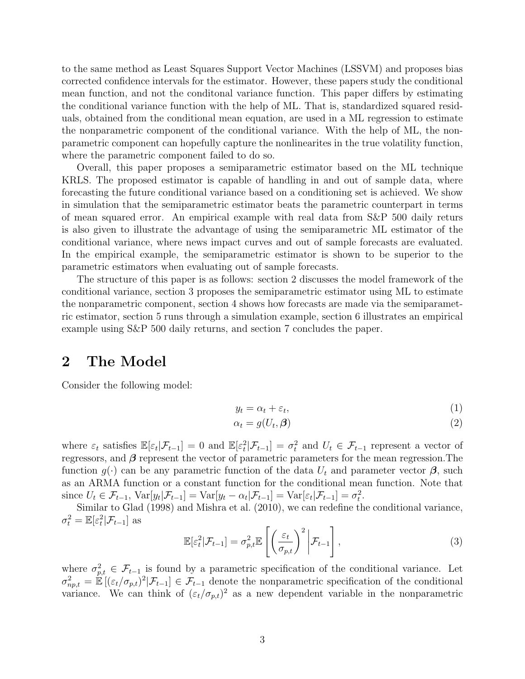to the same method as Least Squares Support Vector Machines (LSSVM) and proposes bias corrected confidence intervals for the estimator. However, these papers study the conditional mean function, and not the conditonal variance function. This paper differs by estimating the conditional variance function with the help of ML. That is, standardized squared residuals, obtained from the conditional mean equation, are used in a ML regression to estimate the nonparametric component of the conditional variance. With the help of ML, the nonparametric component can hopefully capture the nonlinearites in the true volatility function, where the parametric component failed to do so.

Overall, this paper proposes a semiparametric estimator based on the ML technique KRLS. The proposed estimator is capable of handling in and out of sample data, where forecasting the future conditional variance based on a conditioning set is achieved. We show in simulation that the semiparametric estimator beats the parametric counterpart in terms of mean squared error. An empirical example with real data from S&P 500 daily returs is also given to illustrate the advantage of using the semiparametric ML estimator of the conditional variance, where news impact curves and out of sample forecasts are evaluated. In the empirical example, the semiparametric estimator is shown to be superior to the parametric estimators when evaluating out of sample forecasts.

The structure of this paper is as follows: [section 2](#page-2-0) discusses the model framework of the conditional variance, [section 3](#page-3-0) proposes the semiparametric estimator using ML to estimate the nonparametric component, [section 4](#page-5-0) shows how forecasts are made via the semiparametric estimator, [section 5](#page-6-0) runs through a simulation example, [section 6](#page-7-0) illustrates an empirical example using S&P 500 daily returns, and [section 7](#page-12-7) concludes the paper.

### <span id="page-2-0"></span>2 The Model

Consider the following model:

$$
y_t = \alpha_t + \varepsilon_t,\tag{1}
$$

$$
\alpha_t = g(U_t, \beta) \tag{2}
$$

where  $\varepsilon_t$  satisfies  $\mathbb{E}[\varepsilon_t|\mathcal{F}_{t-1}] = 0$  and  $\mathbb{E}[\varepsilon_t^2|\mathcal{F}_{t-1}] = \sigma_t^2$  and  $U_t \in \mathcal{F}_{t-1}$  represent a vector of regressors, and  $\beta$  represent the vector of parametric parameters for the mean regression. The function  $g(\cdot)$  can be any parametric function of the data  $U_t$  and parameter vector  $\beta$ , such as an ARMA function or a constant function for the conditional mean function. Note that since  $U_t \in \mathcal{F}_{t-1}$ ,  $\text{Var}[y_t | \mathcal{F}_{t-1}] = \text{Var}[y_t - \alpha_t | \mathcal{F}_{t-1}] = \text{Var}[\varepsilon_t | \mathcal{F}_{t-1}] = \sigma_t^2$ .

Similar to [Glad](#page-12-5) [\(1998\)](#page-12-5) and [Mishra et al.](#page-13-2) [\(2010\)](#page-13-2), we can redefine the conditional variance,  $\sigma_t^2 = \mathbb{E}[\varepsilon_t^2 | \mathcal{F}_{t-1}]$  as

$$
\mathbb{E}[\varepsilon_t^2 | \mathcal{F}_{t-1}] = \sigma_{p,t}^2 \mathbb{E}\left[\left(\frac{\varepsilon_t}{\sigma_{p,t}}\right)^2 \bigg| \mathcal{F}_{t-1}\right],\tag{3}
$$

where  $\sigma_{p,t}^2 \in \mathcal{F}_{t-1}$  is found by a parametric specification of the conditional variance. Let  $\sigma_{np,t}^2 = \mathbb{E}[(\varepsilon_t/\sigma_{p,t})^2|\mathcal{F}_{t-1}] \in \mathcal{F}_{t-1}$  denote the nonparametric specification of the conditional variance. We can think of  $(\varepsilon_t/\sigma_{p,t})^2$  as a new dependent variable in the nonparametric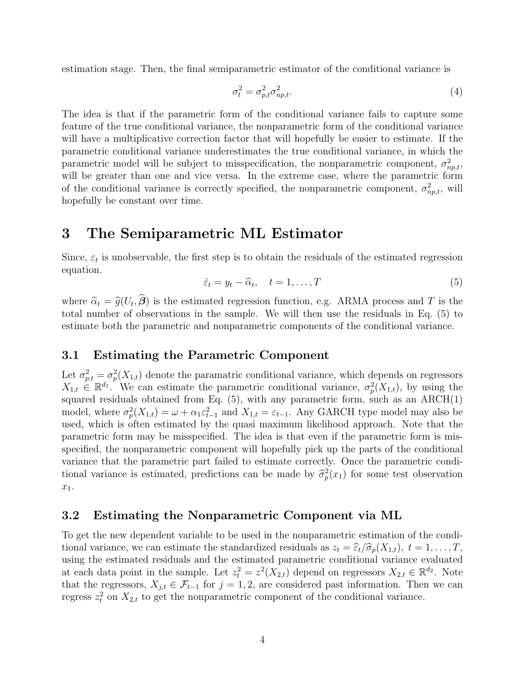estimation stage. Then, the final semiparametric estimator of the conditional variance is

<span id="page-3-2"></span>
$$
\sigma_t^2 = \sigma_{p,t}^2 \sigma_{np,t}^2. \tag{4}
$$

The idea is that if the parametric form of the conditional variance fails to capture some feature of the true conditional variance, the nonparametric form of the conditional variance will have a multiplicative correction factor that will hopefully be easier to estimate. If the parametric conditional variance underestimates the true conditional variance, in which the parametric model will be subject to misspecification, the nonparametric component,  $\sigma_{np,t}^2$ , will be greater than one and vice versa. In the extreme case, where the parametric form of the conditional variance is correctly specified, the nonparametric component,  $\sigma_{np,t}^2$ , will hopefully be constant over time.

### <span id="page-3-0"></span>3 The Semiparametric ML Estimator

Since,  $\varepsilon_t$  is unobservable, the first step is to obtain the residuals of the estimated regression equation.

<span id="page-3-1"></span>
$$
\hat{\varepsilon}_t = y_t - \hat{\alpha}_t, \quad t = 1, \dots, T
$$
\n<sup>(5)</sup>

where  $\hat{\alpha}_t = \hat{g}(U_t, \beta)$  is the estimated regression function, e.g. ARMA process and T is the total number of observations in the sample. We will then use the residuals in Eq. (5) to total number of observations in the sample. We will then use the residuals in Eq. [\(5\)](#page-3-1) to estimate both the parametric and nonparametric components of the conditional variance.

### 3.1 Estimating the Parametric Component

Let  $\sigma_{p,t}^2 = \sigma_p^2(X_{1,t})$  denote the paramatric conditional variance, which depends on regressors  $X_{1,t} \in \mathbb{R}^{d_1}$ . We can estimate the parametric conditional variance,  $\sigma_p^2(X_{1,t})$ , by using the squared residuals obtained from Eq.  $(5)$ , with any parametric form, such as an ARCH $(1)$ model, where  $\sigma_p^2(X_{1,t}) = \omega + \alpha_1 \varepsilon_{t-1}^2$  and  $X_{1,t} = \varepsilon_{t-1}$ . Any GARCH type model may also be used, which is often estimated by the quasi maximum likelihood approach. Note that the parametric form may be misspecified. The idea is that even if the parametric form is misspecified, the nonparametric component will hopefully pick up the parts of the conditional variance that the parametric part failed to estimate correctly. Once the parametric conditional variance is estimated, predictions can be made by  $\hat{\sigma}_p^2(x_1)$  for some test observation  $x_1$ .

#### 3.2 Estimating the Nonparametric Component via ML

To get the new dependent variable to be used in the nonparametric estimation of the conditional variance, we can estimate the standardized residuals as  $z_t = \hat{\epsilon}_t/\hat{\sigma}_p(X_{1,t}), t = 1, \ldots, T$ , using the estimated residuals and the estimated parametric conditional variance evaluated at each data point in the sample. Let  $z_t^2 = z^2(X_{2,t})$  depend on regressors  $X_{2,t} \in \mathbb{R}^{d_2}$ . Note that the regressors,  $X_{j,t} \in \mathcal{F}_{t-1}$  for  $j = 1, 2$ , are considered past information. Then we can regress  $z_t^2$  on  $X_{2,t}$  to get the nonparametric component of the conditional variance.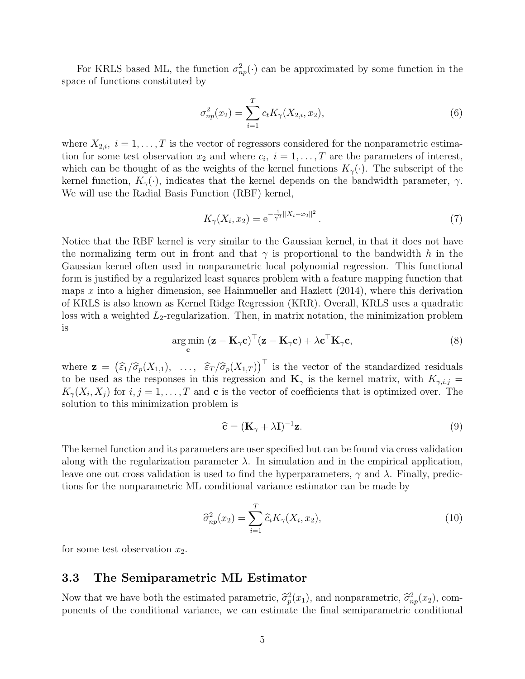For KRLS based ML, the function  $\sigma_{np}^2(\cdot)$  can be approximated by some function in the space of functions constituted by

$$
\sigma_{np}^2(x_2) = \sum_{i=1}^T c_t K_{\gamma}(X_{2,i}, x_2), \qquad (6)
$$

where  $X_{2,i}$ ,  $i = 1, \ldots, T$  is the vector of regressors considered for the nonparametric estimation for some test observation  $x_2$  and where  $c_i$ ,  $i = 1, \ldots, T$  are the parameters of interest, which can be thought of as the weights of the kernel functions  $K_{\gamma}(\cdot)$ . The subscript of the kernel function,  $K_{\gamma}(\cdot)$ , indicates that the kernel depends on the bandwidth parameter,  $\gamma$ . We will use the Radial Basis Function (RBF) kernel,

$$
K_{\gamma}(X_i, x_2) = e^{-\frac{1}{\gamma^2}||X_i - x_2||^2}.
$$
\n(7)

Notice that the RBF kernel is very similar to the Gaussian kernel, in that it does not have the normalizing term out in front and that  $\gamma$  is proportional to the bandwidth h in the Gaussian kernel often used in nonparametric local polynomial regression. This functional form is justified by a regularized least squares problem with a feature mapping function that maps  $x$  into a higher dimension, see [Hainmueller and Hazlett](#page-12-0)  $(2014)$ , where this derivation of KRLS is also known as Kernel Ridge Regression (KRR). Overall, KRLS uses a quadratic loss with a weighted  $L_2$ -regularization. Then, in matrix notation, the minimization problem is

$$
\underset{\mathbf{c}}{\arg\min} (\mathbf{z} - \mathbf{K}_{\gamma} \mathbf{c})^{\top} (\mathbf{z} - \mathbf{K}_{\gamma} \mathbf{c}) + \lambda \mathbf{c}^{\top} \mathbf{K}_{\gamma} \mathbf{c},
$$
\n(8)

where  $\mathbf{z} = (\widehat{\varepsilon}_1/\widehat{\sigma}_p(X_{1,1}), \ldots, \widehat{\varepsilon}_T/\widehat{\sigma}_p(X_{1,T}))^{\top}$  is the vector of the standardized residuals to be used as the responses in this recreasion and  $\mathbf{K}$  is the kernal matrix, with  $K =$ to be used as the responses in this regression and  $\mathbf{K}_{\gamma}$  is the kernel matrix, with  $K_{\gamma,i,j} =$  $K_{\gamma}(X_i, X_j)$  for  $i, j = 1, \ldots, T$  and **c** is the vector of coefficients that is optimized over. The solution to this minimization problem is

$$
\hat{\mathbf{c}} = (\mathbf{K}_{\gamma} + \lambda \mathbf{I})^{-1} \mathbf{z}.
$$
 (9)

The kernel function and its parameters are user specified but can be found via cross validation along with the regularization parameter  $\lambda$ . In simulation and in the empirical application, leave one out cross validation is used to find the hyperparameters,  $\gamma$  and  $\lambda$ . Finally, predictions for the nonparametric ML conditional variance estimator can be made by

<span id="page-4-0"></span>
$$
\widehat{\sigma}_{np}^2(x_2) = \sum_{i=1}^T \widehat{c}_i K_{\gamma}(X_i, x_2),\tag{10}
$$

for some test observation  $x_2$ .

#### 3.3 The Semiparametric ML Estimator

Now that we have both the estimated parametric,  $\hat{\sigma}_p^2(x_1)$ , and nonparametric,  $\hat{\sigma}_{np}^2(x_2)$ , com-<br>poperts of the conditional variance, we can estimate the final semiparametric conditional ponents of the conditional variance, we can estimate the final semiparametric conditional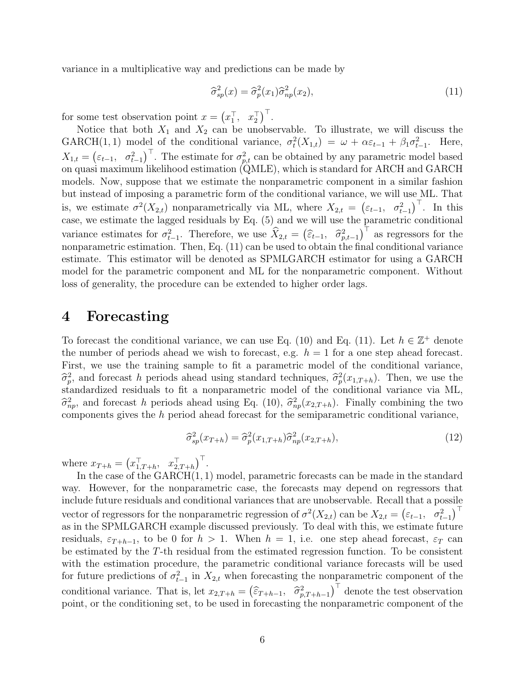variance in a multiplicative way and predictions can be made by

<span id="page-5-1"></span>
$$
\widehat{\sigma}_{sp}^2(x) = \widehat{\sigma}_p^2(x_1)\widehat{\sigma}_{np}^2(x_2),\tag{11}
$$

for some test observation point  $x = (x_1^\top, x_2^\top)^\top$ .

Notice that both  $X_1$  and  $X_2$  can be unobservable. To illustrate, we will discuss the GARCH(1,1) model of the conditional variance,  $\sigma_t^2(X_{1,t}) = \omega + \alpha \varepsilon_{t-1} + \beta_1 \sigma_{t-1}^2$ . Here,  $X_{1,t} = (\varepsilon_{t-1}, \sigma_{t-1}^2)^\top$ . The estimate for  $\sigma_{p,t}^2$  can be obtained by any parametric model based on quasi maximum likelihood estimation (QMLE), which is standard for ARCH and GARCH models. Now, suppose that we estimate the nonparametric component in a similar fashion but instead of imposing a parametric form of the conditional variance, we will use ML. That is, we estimate  $\sigma^2(X_{2,t})$  nonparametrically via ML, where  $X_{2,t} = (\varepsilon_{t-1}, \sigma_{t-1}^2)^\top$ . In this case, we estimate the lagged residuals by Eq. [\(5\)](#page-3-1) and we will use the parametric conditional variance estimates for  $\sigma_{t-1}^2$ . Therefore, we use  $\widehat{X}_{2,t} = (\widehat{\varepsilon}_{t-1}, \widehat{\sigma}_{p,t-1}^2)^\top$  as regressors for the popper protice estimation. Then Eq. (11) can be used to obtain the final conditional variance nonparametric estimation. Then, Eq. [\(11\)](#page-5-1) can be used to obtain the final conditional variance estimate. This estimator will be denoted as SPMLGARCH estimator for using a GARCH model for the parametric component and ML for the nonparametric component. Without loss of generality, the procedure can be extended to higher order lags.

### <span id="page-5-0"></span>4 Forecasting

To forecast the conditional variance, we can use Eq. [\(10\)](#page-4-0) and Eq. [\(11\).](#page-5-1) Let  $h \in \mathbb{Z}^+$  denote the number of periods ahead we wish to forecast, e.g.  $h = 1$  for a one step ahead forecast. First, we use the training sample to fit a parametric model of the conditional variance,  $\hat{\sigma}_p^2$ , and forecast h periods ahead using standard techniques,  $\hat{\sigma}_p^2(x_{1,T+h})$ . Then, we use the standardized regiduals to fit a nonparametric model of the conditional variance via MI standardized residuals to fit a nonparametric model of the conditional variance via ML,  $\hat{\sigma}_{np}^2$ , and forecast h periods ahead using Eq. [\(10\),](#page-4-0)  $\hat{\sigma}_{np}^2(x_{2,T+h})$ . Finally combining the two<br>components gives the h period ahead forecast for the semiparametric conditional variance components gives the h period ahead forecast for the semiparametric conditional variance,

<span id="page-5-2"></span>
$$
\widehat{\sigma}_{sp}^2(x_{T+h}) = \widehat{\sigma}_p^2(x_{1,T+h})\widehat{\sigma}_{np}^2(x_{2,T+h}),\tag{12}
$$

where  $x_{T+h} = (x_{1,T+h}^\top, x_{2,T+h}^\top)^\top$ .

In the case of the GARCH(1, 1) model, parametric forecasts can be made in the standard way. However, for the nonparametric case, the forecasts may depend on regressors that include future residuals and conditional variances that are unobservable. Recall that a possile vector of regressors for the nonparametric regression of  $\sigma^2(X_{2,t})$  can be  $X_{2,t} = (\varepsilon_{t-1}, \sigma_{t-1}^2)^\top$ as in the SPMLGARCH example discussed previously. To deal with this, we estimate future residuals,  $\varepsilon_{T+h-1}$ , to be 0 for  $h > 1$ . When  $h = 1$ , i.e. one step ahead forecast,  $\varepsilon_T$  can be estimated by the T-th residual from the estimated regression function. To be consistent with the estimation procedure, the parametric conditional variance forecasts will be used for future predictions of  $\sigma_{t-1}^2$  in  $X_{2,t}$  when forecasting the nonparametric component of the conditional variance. That is, let  $x_{2,T+h} = (\hat{\varepsilon}_{T+h-1}, \hat{\sigma}_{p,T+h-1}^2)^\top$  denote the test observation<br>point or the conditioning set to be used in forecasting the perpenetric component of the point, or the conditioning set, to be used in forecasting the nonparametric component of the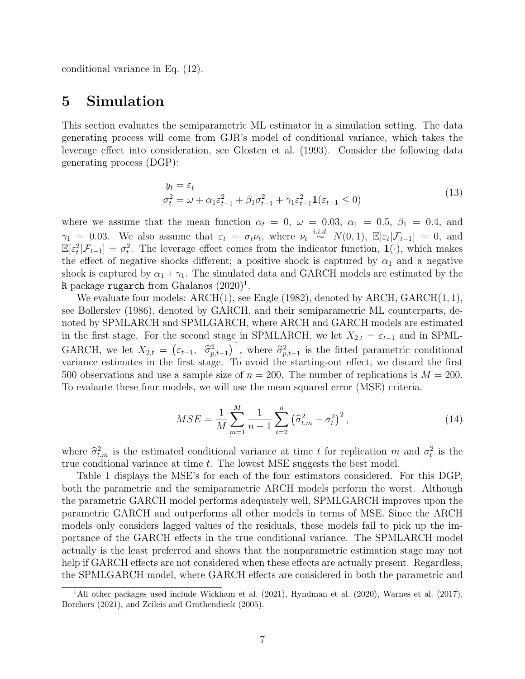conditional variance in Eq. [\(12\).](#page-5-2)

## <span id="page-6-0"></span>5 Simulation

This section evaluates the semiparametric ML estimator in a simulation setting. The data generating process will come from GJR's model of conditional variance, which takes the leverage effect into consideration, see [Glosten et al.](#page-12-3) [\(1993\)](#page-12-3). Consider the following data generating process (DGP):

<span id="page-6-3"></span>
$$
y_t = \varepsilon_t
$$
  
\n
$$
\sigma_t^2 = \omega + \alpha_1 \varepsilon_{t-1}^2 + \beta_1 \sigma_{t-1}^2 + \gamma_1 \varepsilon_{t-1}^2 \mathbf{1}(\varepsilon_{t-1} \le 0)
$$
\n(13)

where we assume that the mean function  $\alpha_t = 0$ ,  $\omega = 0.03$ ,  $\alpha_1 = 0.5$ ,  $\beta_1 = 0.4$ , and  $\gamma_1 = 0.03$ . We also assume that  $\varepsilon_t = \sigma_t \nu_t$ , where  $\nu_t \stackrel{i.i.d.}{\sim} N(0,1)$ ,  $\mathbb{E}[\varepsilon_t|\mathcal{F}_{t-1}] = 0$ , and  $\mathbb{E}[\varepsilon_t^2|\mathcal{F}_{t-1}] = \sigma_t^2$ . The leverage effect comes from the indicator function,  $\mathbf{1}(\cdot)$ , which makes the effect of negative shocks different; a positive shock is captured by  $\alpha_1$  and a negative shock is captured by  $\alpha_1 + \gamma_1$ . The simulated data and GARCH models are estimated by the R package rugarch from [Ghalanos](#page-12-8)  $(2020)^1$  $(2020)^1$  $(2020)^1$ .

We evaluate four models: ARCH(1), see [Engle](#page-12-1) [\(1982\)](#page-12-1), denoted by ARCH, GARCH(1, 1), see [Bollerslev](#page-12-2) [\(1986\)](#page-12-2), denoted by GARCH, and their semiparametric ML counterparts, denoted by SPMLARCH and SPMLGARCH, where ARCH and GARCH models are estimated in the first stage. For the second stage in SPMLARCH, we let  $X_{2,t} = \varepsilon_{t-1}$  and in SPML-GARCH, we let  $X_{2,t} = (\varepsilon_{t-1}, \hat{\sigma}_{p,t-1}^2)^\top$ , where  $\hat{\sigma}_{p,t-1}^2$  is the fitted parametric conditional<br>vertiance estimates in the first stage. To avoid the starting out effect, we discard the first variance estimates in the first stage. To avoid the starting-out effect, we discard the first 500 observations and use a sample size of  $n = 200$ . The number of replications is  $M = 200$ . To evalaute these four models, we will use the mean squared error (MSE) criteria.

<span id="page-6-2"></span>
$$
MSE = \frac{1}{M} \sum_{m=1}^{M} \frac{1}{n-1} \sum_{t=2}^{n} \left(\hat{\sigma}_{t,m}^{2} - \sigma_{t}^{2}\right)^{2},\tag{14}
$$

where  $\hat{\sigma}_{t,m}^2$  is the estimated conditional variance at time t for replication m and  $\sigma_t^2$  is the true conditional variance at time t. The lewest MSE suggests the best model true condtional variance at time  $t$ . The lowest MSE suggests the best model.

[Table 1](#page-7-1) displays the MSE's for each of the four estimators considered. For this DGP, both the parametric and the semiparametric ARCH models perform the worst. Although the parametric GARCH model performs adequately well, SPMLGARCH improves upon the parametric GARCH and outperforms all other models in terms of MSE. Since the ARCH models only considers lagged values of the residuals, these models fail to pick up the importance of the GARCH effects in the true conditional variance. The SPMLARCH model actually is the least preferred and shows that the nonparametric estimation stage may not help if GARCH effects are not considered when these effects are actually present. Regardless, the SPMLGARCH model, where GARCH effects are considered in both the parametric and

<span id="page-6-1"></span><sup>&</sup>lt;sup>1</sup>All other packages used include [Wickham et al.](#page-13-3) [\(2021\)](#page-13-3), [Hyndman et al.](#page-13-4) [\(2020\)](#page-13-4), [Warnes et al.](#page-13-5) [\(2017\)](#page-13-5), [Borchers](#page-12-9) [\(2021\)](#page-12-9), and [Zeileis and Grothendieck](#page-13-6) [\(2005\)](#page-13-6).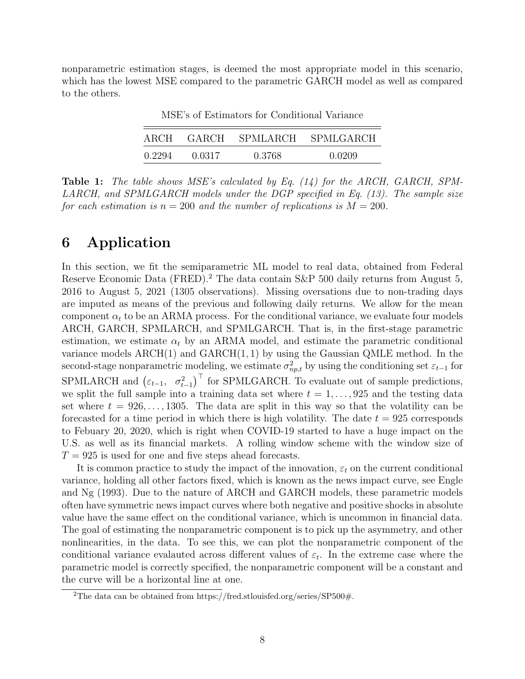<span id="page-7-1"></span>nonparametric estimation stages, is deemed the most appropriate model in this scenario, which has the lowest MSE compared to the parametric GARCH model as well as compared to the others.

| ARCH   | GARCH  |        | SPMLARCH SPMLGARCH |
|--------|--------|--------|--------------------|
| 0.2294 | 0.0317 | 0.3768 | 0.0209             |

MSE's of Estimators for Conditional Variance

Table 1: The table shows MSE's calculated by Eq. [\(14\)](#page-6-2) for the ARCH, GARCH, SPM-LARCH, and SPMLGARCH models under the DGP specified in Eq. [\(13\).](#page-6-3) The sample size for each estimation is  $n = 200$  and the number of replications is  $M = 200$ .

### <span id="page-7-0"></span>6 Application

In this section, we fit the semiparametric ML model to real data, obtained from Federal Reserve Economic Data (FRED).<sup>[2](#page-7-2)</sup> The data contain S&P 500 daily returns from August 5, 2016 to August 5, 2021 (1305 observations). Missing oversations due to non-trading days are imputed as means of the previous and following daily returns. We allow for the mean component  $\alpha_t$  to be an ARMA process. For the conditional variance, we evaluate four models ARCH, GARCH, SPMLARCH, and SPMLGARCH. That is, in the first-stage parametric estimation, we estimate  $\alpha_t$  by an ARMA model, and estimate the parametric conditional variance models  $\text{ARCH}(1)$  and  $\text{GARCH}(1, 1)$  by using the Gaussian QMLE method. In the second-stage nonparametric modeling, we estimate  $\sigma_{np,t}^2$  by using the conditioning set  $\varepsilon_{t-1}$  for SPMLARCH and  $(\varepsilon_{t-1}, \sigma_{t-1}^2)^\top$  for SPMLGARCH. To evaluate out of sample predictions, we split the full sample into a training data set where  $t = 1, \ldots, 925$  and the testing data set where  $t = 926, \ldots, 1305$ . The data are split in this way so that the volatility can be forecasted for a time period in which there is high volatility. The date  $t = 925$  corresponds to Febuary 20, 2020, which is right when COVID-19 started to have a huge impact on the U.S. as well as its financial markets. A rolling window scheme with the window size of  $T = 925$  is used for one and five steps ahead forecasts.

It is common practice to study the impact of the innovation,  $\varepsilon_t$  on the current conditional variance, holding all other factors fixed, which is known as the news impact curve, see [Engle](#page-12-10) [and Ng](#page-12-10) [\(1993\)](#page-12-10). Due to the nature of ARCH and GARCH models, these parametric models often have symmetric news impact curves where both negative and positive shocks in absolute value have the same effect on the conditional variance, which is uncommon in financial data. The goal of estimating the nonparametric component is to pick up the asymmetry, and other nonlinearities, in the data. To see this, we can plot the nonparametric component of the conditional variance evalauted across different values of  $\varepsilon_t$ . In the extreme case where the parametric model is correctly specified, the nonparametric component will be a constant and the curve will be a horizontal line at one.

<span id="page-7-2"></span><sup>&</sup>lt;sup>2</sup>The data can be obtained from [https://fred.stlouisfed.org/series/SP500#.](https://fred.stlouisfed.org/series/SP500)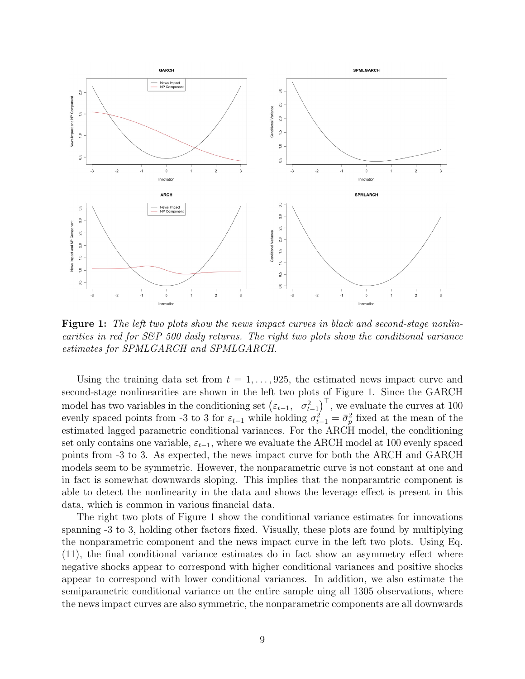<span id="page-8-0"></span>

Figure 1: The left two plots show the news impact curves in black and second-stage nonlinearities in red for  $S\mathcal{B}P$  500 daily returns. The right two plots show the conditional variance estimates for SPMLGARCH and SPMLGARCH.

Using the training data set from  $t = 1, \ldots, 925$ , the estimated news impact curve and second-stage nonlinearities are shown in the left two plots of [Figure 1.](#page-8-0) Since the GARCH model has two variables in the conditioning set  $(\varepsilon_{t-1}, \sigma_{t-1}^2)^\top$ , we evaluate the curves at 100 evenly spaced points from -3 to 3 for  $\varepsilon_{t-1}$  while holding  $\sigma_{t-1}^2 = \bar{\sigma}_{p}^2$  fixed at the mean of the estimated lagged parametric conditional variances. For the ARCH model, the conditioning set only contains one variable,  $\varepsilon_{t-1}$ , where we evaluate the ARCH model at 100 evenly spaced points from -3 to 3. As expected, the news impact curve for both the ARCH and GARCH models seem to be symmetric. However, the nonparametric curve is not constant at one and in fact is somewhat downwards sloping. This implies that the nonparamtric component is able to detect the nonlinearity in the data and shows the leverage effect is present in this data, which is common in various financial data.

The right two plots of [Figure 1](#page-8-0) show the conditional variance estimates for innovations spanning -3 to 3, holding other factors fixed. Visually, these plots are found by multiplying the nonparametric component and the news impact curve in the left two plots. Using [Eq](#page-5-1). [\(11\),](#page-5-1) the final conditional variance estimates do in fact show an asymmetry effect where negative shocks appear to correspond with higher conditional variances and positive shocks appear to correspond with lower conditional variances. In addition, we also estimate the semiparametric conditional variance on the entire sample uing all 1305 observations, where the news impact curves are also symmetric, the nonparametric components are all downwards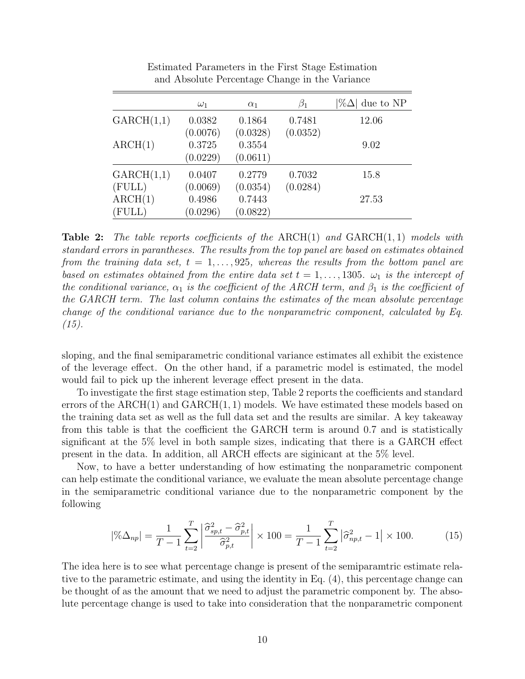<span id="page-9-1"></span>

|            | $\omega_1$ | $\alpha_1$ | $\beta_1$ | $ \% \Delta $ due to NP |
|------------|------------|------------|-----------|-------------------------|
| GARCH(1,1) | 0.0382     | 0.1864     | 0.7481    | 12.06                   |
|            | (0.0076)   | (0.0328)   | (0.0352)  |                         |
| ARCH(1)    | 0.3725     | 0.3554     |           | 9.02                    |
|            | (0.0229)   | (0.0611)   |           |                         |
| GARCH(1,1) | 0.0407     | 0.2779     | 0.7032    | 15.8                    |
| (FULL)     | (0.0069)   | (0.0354)   | (0.0284)  |                         |
| ARCH(1)    | 0.4986     | 0.7443     |           | 27.53                   |
| (FULL)     | (0.0296)   | (0.0822)   |           |                         |

Estimated Parameters in the First Stage Estimation and Absolute Percentage Change in the Variance

**Table 2:** The table reports coefficients of the ARCH(1) and  $GARCH(1, 1)$  models with standard errors in parantheses. The results from the top panel are based on estimates obtained from the training data set,  $t = 1, \ldots, 925$ , whereas the results from the bottom panel are based on estimates obtained from the entire data set  $t = 1, \ldots, 1305$ .  $\omega_1$  is the intercept of the conditional variance,  $\alpha_1$  is the coefficient of the ARCH term, and  $\beta_1$  is the coefficient of the GARCH term. The last column contains the estimates of the mean absolute percentage change of the conditional variance due to the nonparametric component, calculated by [Eq](#page-9-0).  $(15).$ 

sloping, and the final semiparametric conditional variance estimates all exhibit the existence of the leverage effect. On the other hand, if a parametric model is estimated, the model would fail to pick up the inherent leverage effect present in the data.

To investigate the first stage estimation step, [Table 2](#page-9-1) reports the coefficients and standard errors of the  $\text{ARCH}(1)$  and  $\text{GARCH}(1,1)$  models. We have estimated these models based on the training data set as well as the full data set and the results are similar. A key takeaway from this table is that the coefficient the GARCH term is around 0.7 and is statistically significant at the 5% level in both sample sizes, indicating that there is a GARCH effect present in the data. In addition, all ARCH effects are siginicant at the 5% level.

Now, to have a better understanding of how estimating the nonparametric component can help estimate the conditional variance, we evaluate the mean absolute percentage change in the semiparametric conditional variance due to the nonparametric component by the following

<span id="page-9-0"></span>
$$
|\% \Delta_{np}| = \frac{1}{T-1} \sum_{t=2}^{T} \left| \frac{\hat{\sigma}_{\text{sp},t}^2 - \hat{\sigma}_{\text{p},t}^2}{\hat{\sigma}_{\text{p},t}^2} \right| \times 100 = \frac{1}{T-1} \sum_{t=2}^{T} \left| \hat{\sigma}_{\text{np},t}^2 - 1 \right| \times 100. \tag{15}
$$

The idea here is to see what percentage change is present of the semiparamtric estimate relative to the parametric estimate, and using the identity in Eq. [\(4\),](#page-3-2) this percentage change can be thought of as the amount that we need to adjust the parametric component by. The absolute percentage change is used to take into consideration that the nonparametric component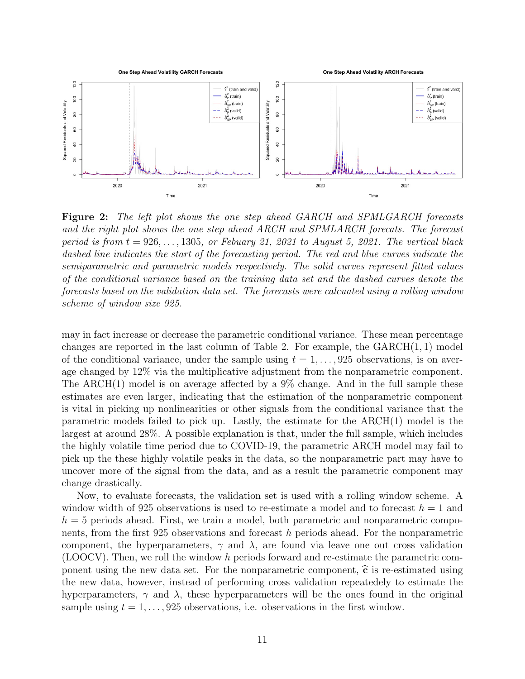<span id="page-10-0"></span>

Figure 2: The left plot shows the one step ahead GARCH and SPMLGARCH forecasts and the right plot shows the one step ahead ARCH and SPMLARCH forecats. The forecast period is from  $t = 926, \ldots, 1305$ , or Febuary 21, 2021 to August 5, 2021. The vertical black dashed line indicates the start of the forecasting period. The red and blue curves indicate the semiparametric and parametric models respectively. The solid curves represent fitted values of the conditional variance based on the training data set and the dashed curves denote the forecasts based on the validation data set. The forecasts were calcuated using a rolling window scheme of window size 925.

may in fact increase or decrease the parametric conditional variance. These mean percentage changes are reported in the last column of [Table 2.](#page-9-1) For example, the  $GARCH(1, 1)$  model of the conditional variance, under the sample using  $t = 1, \ldots, 925$  observations, is on average changed by 12% via the multiplicative adjustment from the nonparametric component. The ARCH(1) model is on average affected by a 9% change. And in the full sample these estimates are even larger, indicating that the estimation of the nonparametric component is vital in picking up nonlinearities or other signals from the conditional variance that the parametric models failed to pick up. Lastly, the estimate for the ARCH(1) model is the largest at around 28%. A possible explanation is that, under the full sample, which includes the highly volatile time period due to COVID-19, the parametric ARCH model may fail to pick up the these highly volatile peaks in the data, so the nonparametric part may have to uncover more of the signal from the data, and as a result the parametric component may change drastically.

Now, to evaluate forecasts, the validation set is used with a rolling window scheme. A window width of 925 observations is used to re-estimate a model and to forecast  $h = 1$  and  $h = 5$  periods ahead. First, we train a model, both parametric and nonparametric components, from the first 925 observations and forecast h periods ahead. For the nonparametric component, the hyperparameters,  $\gamma$  and  $\lambda$ , are found via leave one out cross validation (LOOCV). Then, we roll the window h periods forward and re-estimate the parametric component using the new data set. For the nonparametric component,  $\hat{\mathbf{c}}$  is re-estimated using the new data, however, instead of performing cross validation repeatedely to estimate the hyperparameters,  $\gamma$  and  $\lambda$ , these hyperparameters will be the ones found in the original sample using  $t = 1, \ldots, 925$  observations, i.e. observations in the first window.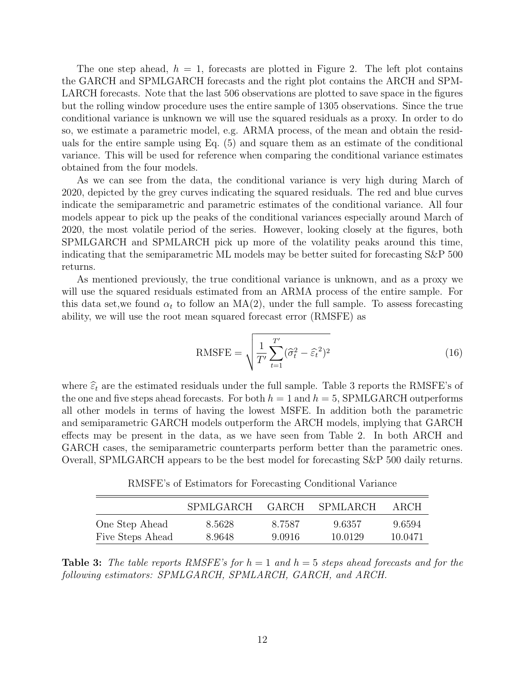The one step ahead,  $h = 1$ , forecasts are plotted in [Figure 2.](#page-10-0) The left plot contains the GARCH and SPMLGARCH forecasts and the right plot contains the ARCH and SPM-LARCH forecasts. Note that the last 506 observations are plotted to save space in the figures but the rolling window procedure uses the entire sample of 1305 observations. Since the true conditional variance is unknown we will use the squared residuals as a proxy. In order to do so, we estimate a parametric model, e.g. ARMA process, of the mean and obtain the residuals for the entire sample using Eq. [\(5\)](#page-3-1) and square them as an estimate of the conditional variance. This will be used for reference when comparing the conditional variance estimates obtained from the four models.

As we can see from the data, the conditional variance is very high during March of 2020, depicted by the grey curves indicating the squared residuals. The red and blue curves indicate the semiparametric and parametric estimates of the conditional variance. All four models appear to pick up the peaks of the conditional variances especially around March of 2020, the most volatile period of the series. However, looking closely at the figures, both SPMLGARCH and SPMLARCH pick up more of the volatility peaks around this time, indicating that the semiparametric ML models may be better suited for forecasting S&P 500 returns.

As mentioned previously, the true conditional variance is unknown, and as a proxy we will use the squared residuals estimated from an ARMA process of the entire sample. For this data set, we found  $\alpha_t$  to follow an MA(2), under the full sample. To assess forecasting ability, we will use the root mean squared forecast error (RMSFE) as

RMSFE = 
$$
\sqrt{\frac{1}{T'}\sum_{t=1}^{T'}(\hat{\sigma}_t^2 - \hat{\varepsilon}_t^2)^2}
$$
 (16)

where  $\hat{\epsilon}_t$  are the estimated residuals under the full sample. [Table 3](#page-11-0) reports the RMSFE's of the one and five steps ahead forecasts. For both  $h = 1$  and  $h = 5$ , SPMLGARCH outperforms all other models in terms of having the lowest MSFE. In addition both the parametric and semiparametric GARCH models outperform the ARCH models, implying that GARCH effects may be present in the data, as we have seen from [Table 2.](#page-9-1) In both ARCH and GARCH cases, the semiparametric counterparts perform better than the parametric ones. Overall, SPMLGARCH appears to be the best model for forecasting S&P 500 daily returns.

RMSFE's of Estimators for Forecasting Conditional Variance

<span id="page-11-0"></span>

|                  | <b>SPMLGARCH</b> | GARCH  | SPMLARCH | ARCH    |
|------------------|------------------|--------|----------|---------|
| One Step Ahead   | 8.5628           | 8.7587 | 9.6357   | 9.6594  |
| Five Steps Ahead | 8.9648           | 9.0916 | 10.0129  | 10.0471 |

**Table 3:** The table reports RMSFE's for  $h = 1$  and  $h = 5$  steps ahead forecasts and for the following estimators: SPMLGARCH, SPMLARCH, GARCH, and ARCH.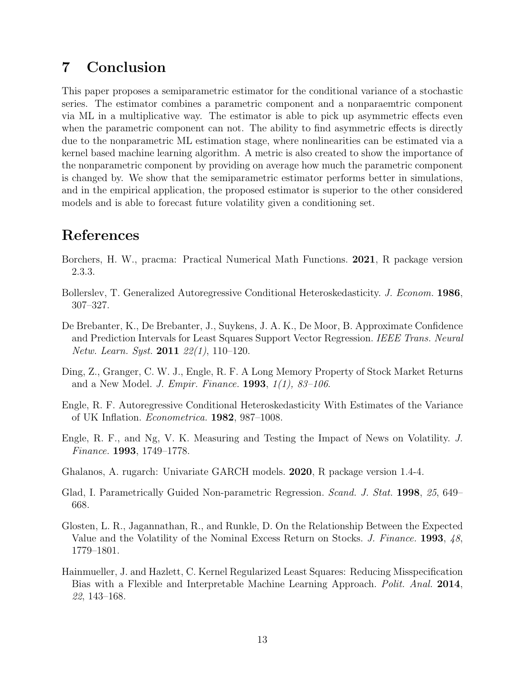## <span id="page-12-7"></span>7 Conclusion

This paper proposes a semiparametric estimator for the conditional variance of a stochastic series. The estimator combines a parametric component and a nonparaemtric component via ML in a multiplicative way. The estimator is able to pick up asymmetric effects even when the parametric component can not. The ability to find asymmetric effects is directly due to the nonparametric ML estimation stage, where nonlinearities can be estimated via a kernel based machine learning algorithm. A metric is also created to show the importance of the nonparametric component by providing on average how much the parametric component is changed by. We show that the semiparametric estimator performs better in simulations, and in the empirical application, the proposed estimator is superior to the other considered models and is able to forecast future volatility given a conditioning set.

### References

- <span id="page-12-9"></span>Borchers, H. W., pracma: Practical Numerical Math Functions. 2021, R package version 2.3.3.
- <span id="page-12-2"></span>Bollerslev, T. Generalized Autoregressive Conditional Heteroskedasticity. J. Econom. 1986, 307–327.
- <span id="page-12-6"></span>De Brebanter, K., De Brebanter, J., Suykens, J. A. K., De Moor, B. Approximate Confidence and Prediction Intervals for Least Squares Support Vector Regression. IEEE Trans. Neural Netw. Learn. Syst. **2011** 22(1), 110-120.
- <span id="page-12-4"></span>Ding, Z., Granger, C. W. J., Engle, R. F. A Long Memory Property of Stock Market Returns and a New Model. J. Empir. Finance. 1993, 1(1), 83–106.
- <span id="page-12-1"></span>Engle, R. F. Autoregressive Conditional Heteroskedasticity With Estimates of the Variance of UK Inflation. Econometrica. 1982, 987–1008.
- <span id="page-12-10"></span>Engle, R. F., and Ng, V. K. Measuring and Testing the Impact of News on Volatility. J. Finance. 1993, 1749–1778.
- <span id="page-12-8"></span>Ghalanos, A. rugarch: Univariate GARCH models. 2020, R package version 1.4-4.
- <span id="page-12-5"></span>Glad, I. Parametrically Guided Non-parametric Regression. *Scand. J. Stat.* 1998, 25, 649– 668.
- <span id="page-12-3"></span>Glosten, L. R., Jagannathan, R., and Runkle, D. On the Relationship Between the Expected Value and the Volatility of the Nominal Excess Return on Stocks. *J. Finance.* 1993, 48, 1779–1801.
- <span id="page-12-0"></span>Hainmueller, J. and Hazlett, C. Kernel Regularized Least Squares: Reducing Misspecification Bias with a Flexible and Interpretable Machine Learning Approach. Polit. Anal. 2014, 22, 143–168.